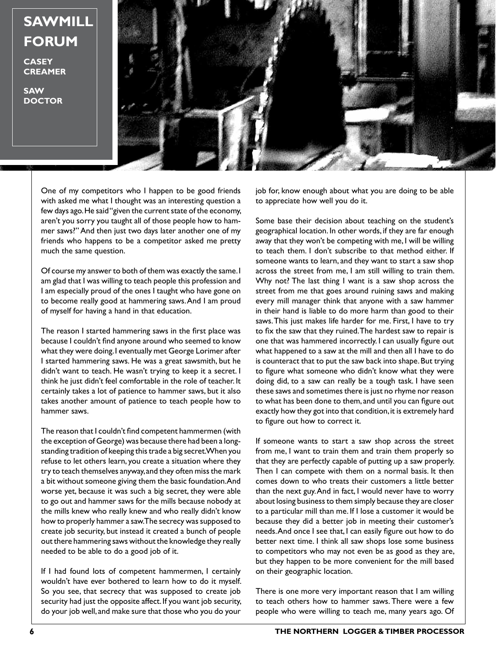**SAWMILL FORUM**

**CASEY CREAMER**

**SAW DOCTOR**



One of my competitors who I happen to be good friends with asked me what I thought was an interesting question a few days ago. He said "given the current state of the economy, aren't you sorry you taught all of those people how to hammer saws?" And then just two days later another one of my friends who happens to be a competitor asked me pretty much the same question.

Of course my answer to both of them was exactly the same. I am glad that I was willing to teach people this profession and I am especially proud of the ones I taught who have gone on to become really good at hammering saws. And I am proud of myself for having a hand in that education.

The reason I started hammering saws in the first place was because I couldn't find anyone around who seemed to know what they were doing. I eventually met George Lorimer after I started hammering saws. He was a great sawsmith, but he didn't want to teach. He wasn't trying to keep it a secret. I think he just didn't feel comfortable in the role of teacher. It certainly takes a lot of patience to hammer saws, but it also takes another amount of patience to teach people how to hammer saws.

The reason that I couldn't find competent hammermen (with the exception of George) was because there had been a longstanding tradition of keeping this trade a big secret. When you refuse to let others learn, you create a situation where they try to teach themselves anyway, and they often miss the mark a bit without someone giving them the basic foundation. And worse yet, because it was such a big secret, they were able to go out and hammer saws for the mills because nobody at the mills knew who really knew and who really didn't know how to properly hammer a saw. The secrecy was supposed to create job security, but instead it created a bunch of people out there hammering saws without the knowledge they really needed to be able to do a good job of it.

If I had found lots of competent hammermen, I certainly wouldn't have ever bothered to learn how to do it myself. So you see, that secrecy that was supposed to create job security had just the opposite affect. If you want job security, do your job well, and make sure that those who you do your

job for, know enough about what you are doing to be able to appreciate how well you do it.

Some base their decision about teaching on the student's geographical location. In other words, if they are far enough away that they won't be competing with me, I will be willing to teach them. I don't subscribe to that method either. If someone wants to learn, and they want to start a saw shop across the street from me, I am still willing to train them. Why not? The last thing I want is a saw shop across the street from me that goes around ruining saws and making every mill manager think that anyone with a saw hammer in their hand is liable to do more harm than good to their saws. This just makes life harder for me. First, I have to try to fix the saw that they ruined. The hardest saw to repair is one that was hammered incorrectly. I can usually figure out what happened to a saw at the mill and then all I have to do is counteract that to put the saw back into shape. But trying to figure what someone who didn't know what they were doing did, to a saw can really be a tough task. I have seen these saws and sometimes there is just no rhyme nor reason to what has been done to them, and until you can figure out exactly how they got into that condition, it is extremely hard to figure out how to correct it.

If someone wants to start a saw shop across the street from me, I want to train them and train them properly so that they are perfectly capable of putting up a saw properly. Then I can compete with them on a normal basis. It then comes down to who treats their customers a little better than the next guy. And in fact, I would never have to worry about losing business to them simply because they are closer to a particular mill than me. If I lose a customer it would be because they did a better job in meeting their customer's needs. And once I see that, I can easily figure out how to do better next time. I think all saw shops lose some business to competitors who may not even be as good as they are, but they happen to be more convenient for the mill based on their geographic location.

There is one more very important reason that I am willing to teach others how to hammer saws. There were a few people who were willing to teach me, many years ago. Of